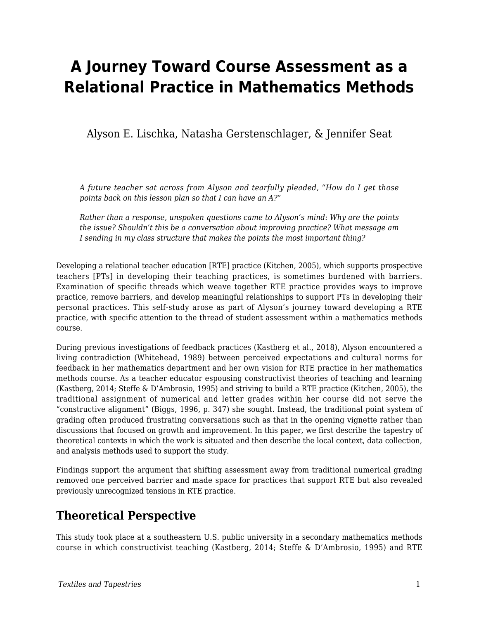# **A Journey Toward Course Assessment as a Relational Practice in Mathematics Methods**

Alyson E. Lischka, Natasha Gerstenschlager, & Jennifer Seat

*A future teacher sat across from Alyson and tearfully pleaded, "How do I get those points back on this lesson plan so that I can have an A?"*

*Rather than a response, unspoken questions came to Alyson's mind: Why are the points the issue? Shouldn't this be a conversation about improving practice? What message am I sending in my class structure that makes the points the most important thing?*

Developing a relational teacher education [RTE] practice (Kitchen, 2005), which supports prospective teachers [PTs] in developing their teaching practices, is sometimes burdened with barriers. Examination of specific threads which weave together RTE practice provides ways to improve practice, remove barriers, and develop meaningful relationships to support PTs in developing their personal practices. This self-study arose as part of Alyson's journey toward developing a RTE practice, with specific attention to the thread of student assessment within a mathematics methods course.

During previous investigations of feedback practices (Kastberg et al., 2018), Alyson encountered a living contradiction (Whitehead, 1989) between perceived expectations and cultural norms for feedback in her mathematics department and her own vision for RTE practice in her mathematics methods course. As a teacher educator espousing constructivist theories of teaching and learning (Kastberg, 2014; Steffe & D'Ambrosio, 1995) and striving to build a RTE practice (Kitchen, 2005), the traditional assignment of numerical and letter grades within her course did not serve the "constructive alignment" (Biggs, 1996, p. 347) she sought. Instead, the traditional point system of grading often produced frustrating conversations such as that in the opening vignette rather than discussions that focused on growth and improvement. In this paper, we first describe the tapestry of theoretical contexts in which the work is situated and then describe the local context, data collection, and analysis methods used to support the study.

Findings support the argument that shifting assessment away from traditional numerical grading removed one perceived barrier and made space for practices that support RTE but also revealed previously unrecognized tensions in RTE practice.

#### **Theoretical Perspective**

This study took place at a southeastern U.S. public university in a secondary mathematics methods course in which constructivist teaching (Kastberg, 2014; Steffe & D'Ambrosio, 1995) and RTE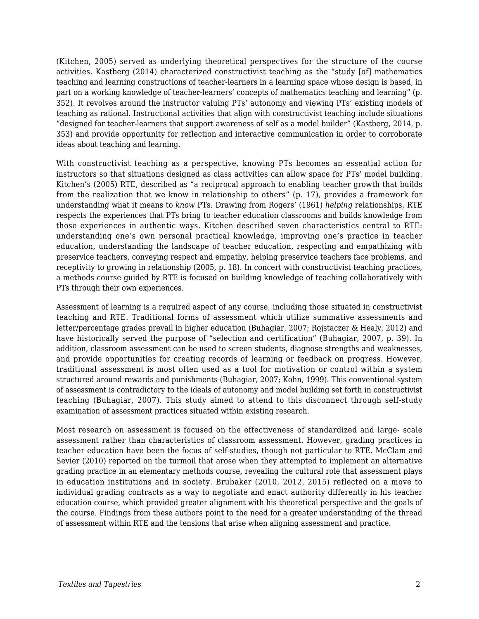(Kitchen, 2005) served as underlying theoretical perspectives for the structure of the course activities. Kastberg (2014) characterized constructivist teaching as the "study [of] mathematics teaching and learning constructions of teacher-learners in a learning space whose design is based, in part on a working knowledge of teacher-learners' concepts of mathematics teaching and learning" (p. 352). It revolves around the instructor valuing PTs' autonomy and viewing PTs' existing models of teaching as rational. Instructional activities that align with constructivist teaching include situations "designed for teacher-learners that support awareness of self as a model builder" (Kastberg, 2014, p. 353) and provide opportunity for reflection and interactive communication in order to corroborate ideas about teaching and learning.

With constructivist teaching as a perspective, knowing PTs becomes an essential action for instructors so that situations designed as class activities can allow space for PTs' model building. Kitchen's (2005) RTE, described as "a reciprocal approach to enabling teacher growth that builds from the realization that we know in relationship to others" (p. 17), provides a framework for understanding what it means to *know* PTs. Drawing from Rogers' (1961) *helping* relationships, RTE respects the experiences that PTs bring to teacher education classrooms and builds knowledge from those experiences in authentic ways. Kitchen described seven characteristics central to RTE: understanding one's own personal practical knowledge, improving one's practice in teacher education, understanding the landscape of teacher education, respecting and empathizing with preservice teachers, conveying respect and empathy, helping preservice teachers face problems, and receptivity to growing in relationship (2005, p. 18). In concert with constructivist teaching practices, a methods course guided by RTE is focused on building knowledge of teaching collaboratively with PTs through their own experiences.

Assessment of learning is a required aspect of any course, including those situated in constructivist teaching and RTE. Traditional forms of assessment which utilize summative assessments and letter/percentage grades prevail in higher education (Buhagiar, 2007; Rojstaczer & Healy, 2012) and have historically served the purpose of "selection and certification" (Buhagiar, 2007, p. 39). In addition, classroom assessment can be used to screen students, diagnose strengths and weaknesses, and provide opportunities for creating records of learning or feedback on progress. However, traditional assessment is most often used as a tool for motivation or control within a system structured around rewards and punishments (Buhagiar, 2007; Kohn, 1999). This conventional system of assessment is contradictory to the ideals of autonomy and model building set forth in constructivist teaching (Buhagiar, 2007). This study aimed to attend to this disconnect through self-study examination of assessment practices situated within existing research.

Most research on assessment is focused on the effectiveness of standardized and large- scale assessment rather than characteristics of classroom assessment. However, grading practices in teacher education have been the focus of self-studies, though not particular to RTE. McClam and Sevier (2010) reported on the turmoil that arose when they attempted to implement an alternative grading practice in an elementary methods course, revealing the cultural role that assessment plays in education institutions and in society. Brubaker (2010, 2012, 2015) reflected on a move to individual grading contracts as a way to negotiate and enact authority differently in his teacher education course, which provided greater alignment with his theoretical perspective and the goals of the course. Findings from these authors point to the need for a greater understanding of the thread of assessment within RTE and the tensions that arise when aligning assessment and practice.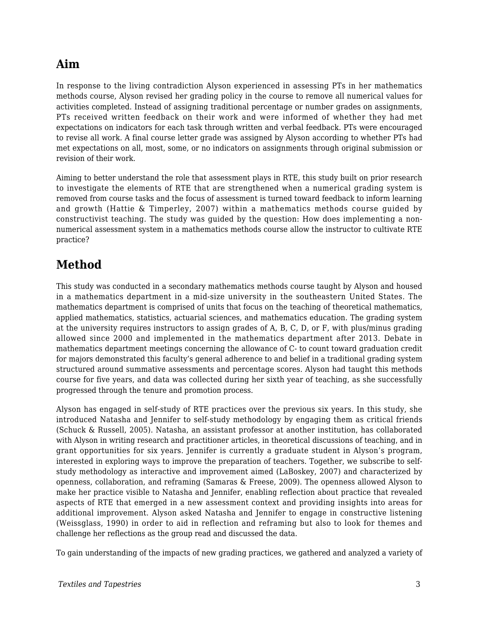## **Aim**

In response to the living contradiction Alyson experienced in assessing PTs in her mathematics methods course, Alyson revised her grading policy in the course to remove all numerical values for activities completed. Instead of assigning traditional percentage or number grades on assignments, PTs received written feedback on their work and were informed of whether they had met expectations on indicators for each task through written and verbal feedback. PTs were encouraged to revise all work. A final course letter grade was assigned by Alyson according to whether PTs had met expectations on all, most, some, or no indicators on assignments through original submission or revision of their work.

Aiming to better understand the role that assessment plays in RTE, this study built on prior research to investigate the elements of RTE that are strengthened when a numerical grading system is removed from course tasks and the focus of assessment is turned toward feedback to inform learning and growth (Hattie & Timperley, 2007) within a mathematics methods course guided by constructivist teaching. The study was guided by the question: How does implementing a nonnumerical assessment system in a mathematics methods course allow the instructor to cultivate RTE practice?

#### **Method**

This study was conducted in a secondary mathematics methods course taught by Alyson and housed in a mathematics department in a mid-size university in the southeastern United States. The mathematics department is comprised of units that focus on the teaching of theoretical mathematics, applied mathematics, statistics, actuarial sciences, and mathematics education. The grading system at the university requires instructors to assign grades of A, B, C, D, or F, with plus/minus grading allowed since 2000 and implemented in the mathematics department after 2013. Debate in mathematics department meetings concerning the allowance of C- to count toward graduation credit for majors demonstrated this faculty's general adherence to and belief in a traditional grading system structured around summative assessments and percentage scores. Alyson had taught this methods course for five years, and data was collected during her sixth year of teaching, as she successfully progressed through the tenure and promotion process.

Alyson has engaged in self-study of RTE practices over the previous six years. In this study, she introduced Natasha and Jennifer to self-study methodology by engaging them as critical friends (Schuck & Russell, 2005). Natasha, an assistant professor at another institution, has collaborated with Alyson in writing research and practitioner articles, in theoretical discussions of teaching, and in grant opportunities for six years. Jennifer is currently a graduate student in Alyson's program, interested in exploring ways to improve the preparation of teachers. Together, we subscribe to selfstudy methodology as interactive and improvement aimed (LaBoskey, 2007) and characterized by openness, collaboration, and reframing (Samaras & Freese, 2009). The openness allowed Alyson to make her practice visible to Natasha and Jennifer, enabling reflection about practice that revealed aspects of RTE that emerged in a new assessment context and providing insights into areas for additional improvement. Alyson asked Natasha and Jennifer to engage in constructive listening (Weissglass, 1990) in order to aid in reflection and reframing but also to look for themes and challenge her reflections as the group read and discussed the data.

To gain understanding of the impacts of new grading practices, we gathered and analyzed a variety of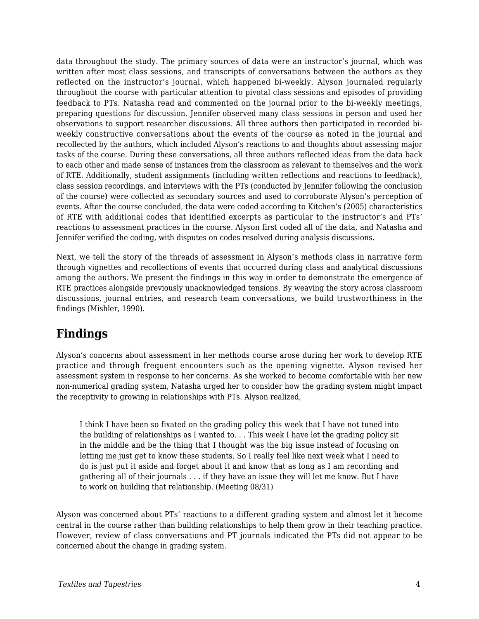data throughout the study. The primary sources of data were an instructor's journal, which was written after most class sessions, and transcripts of conversations between the authors as they reflected on the instructor's journal, which happened bi-weekly. Alyson journaled regularly throughout the course with particular attention to pivotal class sessions and episodes of providing feedback to PTs. Natasha read and commented on the journal prior to the bi-weekly meetings, preparing questions for discussion. Jennifer observed many class sessions in person and used her observations to support researcher discussions. All three authors then participated in recorded biweekly constructive conversations about the events of the course as noted in the journal and recollected by the authors, which included Alyson's reactions to and thoughts about assessing major tasks of the course. During these conversations, all three authors reflected ideas from the data back to each other and made sense of instances from the classroom as relevant to themselves and the work of RTE. Additionally, student assignments (including written reflections and reactions to feedback), class session recordings, and interviews with the PTs (conducted by Jennifer following the conclusion of the course) were collected as secondary sources and used to corroborate Alyson's perception of events. After the course concluded, the data were coded according to Kitchen's (2005) characteristics of RTE with additional codes that identified excerpts as particular to the instructor's and PTs' reactions to assessment practices in the course. Alyson first coded all of the data, and Natasha and Jennifer verified the coding, with disputes on codes resolved during analysis discussions.

Next, we tell the story of the threads of assessment in Alyson's methods class in narrative form through vignettes and recollections of events that occurred during class and analytical discussions among the authors. We present the findings in this way in order to demonstrate the emergence of RTE practices alongside previously unacknowledged tensions. By weaving the story across classroom discussions, journal entries, and research team conversations, we build trustworthiness in the findings (Mishler, 1990).

#### **Findings**

Alyson's concerns about assessment in her methods course arose during her work to develop RTE practice and through frequent encounters such as the opening vignette. Alyson revised her assessment system in response to her concerns. As she worked to become comfortable with her new non-numerical grading system, Natasha urged her to consider how the grading system might impact the receptivity to growing in relationships with PTs. Alyson realized,

I think I have been so fixated on the grading policy this week that I have not tuned into the building of relationships as I wanted to. . . This week I have let the grading policy sit in the middle and be the thing that I thought was the big issue instead of focusing on letting me just get to know these students. So I really feel like next week what I need to do is just put it aside and forget about it and know that as long as I am recording and gathering all of their journals . . . if they have an issue they will let me know. But I have to work on building that relationship. (Meeting 08/31)

Alyson was concerned about PTs' reactions to a different grading system and almost let it become central in the course rather than building relationships to help them grow in their teaching practice. However, review of class conversations and PT journals indicated the PTs did not appear to be concerned about the change in grading system.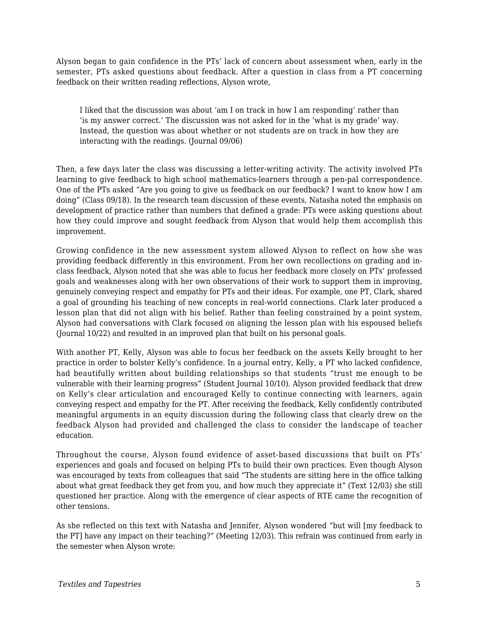Alyson began to gain confidence in the PTs' lack of concern about assessment when, early in the semester, PTs asked questions about feedback. After a question in class from a PT concerning feedback on their written reading reflections, Alyson wrote,

I liked that the discussion was about 'am I on track in how I am responding' rather than 'is my answer correct.' The discussion was not asked for in the 'what is my grade' way. Instead, the question was about whether or not students are on track in how they are interacting with the readings. (Journal 09/06)

Then, a few days later the class was discussing a letter-writing activity. The activity involved PTs learning to give feedback to high school mathematics-learners through a pen-pal correspondence. One of the PTs asked "Are you going to give us feedback on our feedback? I want to know how I am doing" (Class 09/18). In the research team discussion of these events, Natasha noted the emphasis on development of practice rather than numbers that defined a grade: PTs were asking questions about how they could improve and sought feedback from Alyson that would help them accomplish this improvement.

Growing confidence in the new assessment system allowed Alyson to reflect on how she was providing feedback differently in this environment. From her own recollections on grading and inclass feedback, Alyson noted that she was able to focus her feedback more closely on PTs' professed goals and weaknesses along with her own observations of their work to support them in improving, genuinely conveying respect and empathy for PTs and their ideas. For example, one PT, Clark, shared a goal of grounding his teaching of new concepts in real-world connections. Clark later produced a lesson plan that did not align with his belief. Rather than feeling constrained by a point system, Alyson had conversations with Clark focused on aligning the lesson plan with his espoused beliefs (Journal 10/22) and resulted in an improved plan that built on his personal goals.

With another PT, Kelly, Alyson was able to focus her feedback on the assets Kelly brought to her practice in order to bolster Kelly's confidence. In a journal entry, Kelly, a PT who lacked confidence, had beautifully written about building relationships so that students "trust me enough to be vulnerable with their learning progress" (Student Journal 10/10). Alyson provided feedback that drew on Kelly's clear articulation and encouraged Kelly to continue connecting with learners, again conveying respect and empathy for the PT. After receiving the feedback, Kelly confidently contributed meaningful arguments in an equity discussion during the following class that clearly drew on the feedback Alyson had provided and challenged the class to consider the landscape of teacher education.

Throughout the course, Alyson found evidence of asset-based discussions that built on PTs' experiences and goals and focused on helping PTs to build their own practices. Even though Alyson was encouraged by texts from colleagues that said "The students are sitting here in the office talking about what great feedback they get from you, and how much they appreciate it" (Text 12/03) she still questioned her practice. Along with the emergence of clear aspects of RTE came the recognition of other tensions.

As she reflected on this text with Natasha and Jennifer, Alyson wondered "but will [my feedback to the PT] have any impact on their teaching?" (Meeting 12/03). This refrain was continued from early in the semester when Alyson wrote: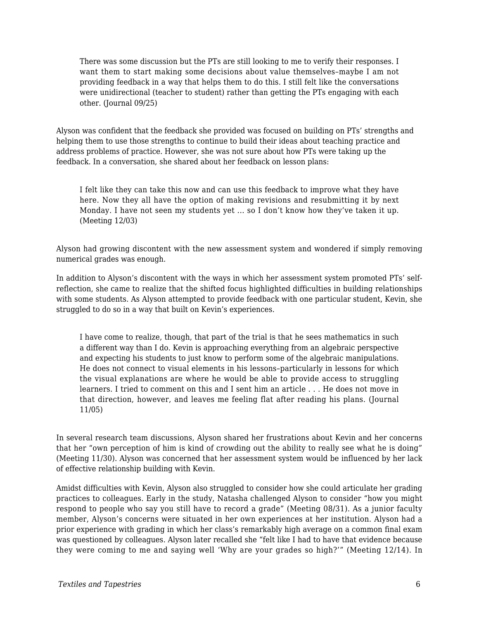There was some discussion but the PTs are still looking to me to verify their responses. I want them to start making some decisions about value themselves–maybe I am not providing feedback in a way that helps them to do this. I still felt like the conversations were unidirectional (teacher to student) rather than getting the PTs engaging with each other. (Journal 09/25)

Alyson was confident that the feedback she provided was focused on building on PTs' strengths and helping them to use those strengths to continue to build their ideas about teaching practice and address problems of practice. However, she was not sure about how PTs were taking up the feedback. In a conversation, she shared about her feedback on lesson plans:

I felt like they can take this now and can use this feedback to improve what they have here. Now they all have the option of making revisions and resubmitting it by next Monday. I have not seen my students yet ... so I don't know how they've taken it up. (Meeting 12/03)

Alyson had growing discontent with the new assessment system and wondered if simply removing numerical grades was enough.

In addition to Alyson's discontent with the ways in which her assessment system promoted PTs' selfreflection, she came to realize that the shifted focus highlighted difficulties in building relationships with some students. As Alyson attempted to provide feedback with one particular student, Kevin, she struggled to do so in a way that built on Kevin's experiences.

I have come to realize, though, that part of the trial is that he sees mathematics in such a different way than I do. Kevin is approaching everything from an algebraic perspective and expecting his students to just know to perform some of the algebraic manipulations. He does not connect to visual elements in his lessons–particularly in lessons for which the visual explanations are where he would be able to provide access to struggling learners. I tried to comment on this and I sent him an article . . . He does not move in that direction, however, and leaves me feeling flat after reading his plans. (Journal 11/05)

In several research team discussions, Alyson shared her frustrations about Kevin and her concerns that her "own perception of him is kind of crowding out the ability to really see what he is doing" (Meeting 11/30). Alyson was concerned that her assessment system would be influenced by her lack of effective relationship building with Kevin.

Amidst difficulties with Kevin, Alyson also struggled to consider how she could articulate her grading practices to colleagues. Early in the study, Natasha challenged Alyson to consider "how you might respond to people who say you still have to record a grade" (Meeting 08/31). As a junior faculty member, Alyson's concerns were situated in her own experiences at her institution. Alyson had a prior experience with grading in which her class's remarkably high average on a common final exam was questioned by colleagues. Alyson later recalled she "felt like I had to have that evidence because they were coming to me and saying well 'Why are your grades so high?'" (Meeting 12/14). In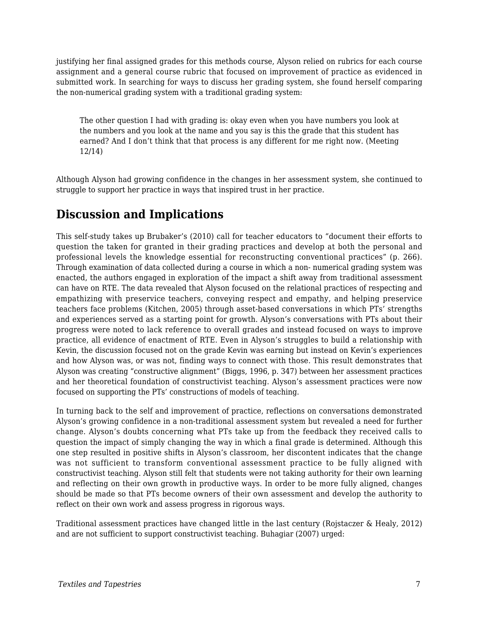justifying her final assigned grades for this methods course, Alyson relied on rubrics for each course assignment and a general course rubric that focused on improvement of practice as evidenced in submitted work. In searching for ways to discuss her grading system, she found herself comparing the non-numerical grading system with a traditional grading system:

The other question I had with grading is: okay even when you have numbers you look at the numbers and you look at the name and you say is this the grade that this student has earned? And I don't think that that process is any different for me right now. (Meeting 12/14)

Although Alyson had growing confidence in the changes in her assessment system, she continued to struggle to support her practice in ways that inspired trust in her practice.

#### **Discussion and Implications**

This self-study takes up Brubaker's (2010) call for teacher educators to "document their efforts to question the taken for granted in their grading practices and develop at both the personal and professional levels the knowledge essential for reconstructing conventional practices" (p. 266). Through examination of data collected during a course in which a non- numerical grading system was enacted, the authors engaged in exploration of the impact a shift away from traditional assessment can have on RTE. The data revealed that Alyson focused on the relational practices of respecting and empathizing with preservice teachers, conveying respect and empathy, and helping preservice teachers face problems (Kitchen, 2005) through asset-based conversations in which PTs' strengths and experiences served as a starting point for growth. Alyson's conversations with PTs about their progress were noted to lack reference to overall grades and instead focused on ways to improve practice, all evidence of enactment of RTE. Even in Alyson's struggles to build a relationship with Kevin, the discussion focused not on the grade Kevin was earning but instead on Kevin's experiences and how Alyson was, or was not, finding ways to connect with those. This result demonstrates that Alyson was creating "constructive alignment" (Biggs, 1996, p. 347) between her assessment practices and her theoretical foundation of constructivist teaching. Alyson's assessment practices were now focused on supporting the PTs' constructions of models of teaching.

In turning back to the self and improvement of practice, reflections on conversations demonstrated Alyson's growing confidence in a non-traditional assessment system but revealed a need for further change. Alyson's doubts concerning what PTs take up from the feedback they received calls to question the impact of simply changing the way in which a final grade is determined. Although this one step resulted in positive shifts in Alyson's classroom, her discontent indicates that the change was not sufficient to transform conventional assessment practice to be fully aligned with constructivist teaching. Alyson still felt that students were not taking authority for their own learning and reflecting on their own growth in productive ways. In order to be more fully aligned, changes should be made so that PTs become owners of their own assessment and develop the authority to reflect on their own work and assess progress in rigorous ways.

Traditional assessment practices have changed little in the last century (Rojstaczer & Healy, 2012) and are not sufficient to support constructivist teaching. Buhagiar (2007) urged: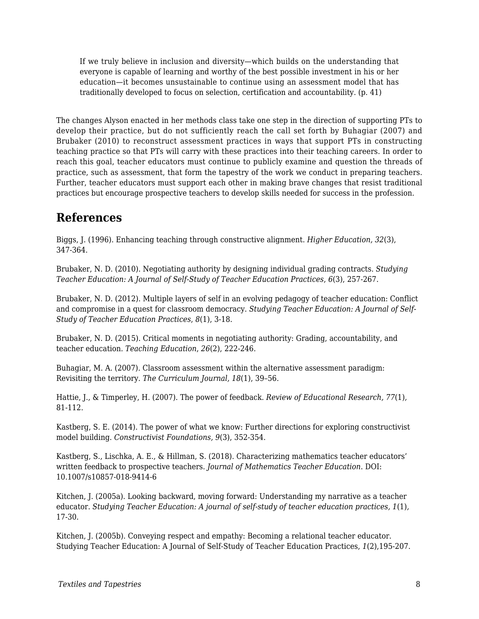If we truly believe in inclusion and diversity—which builds on the understanding that everyone is capable of learning and worthy of the best possible investment in his or her education—it becomes unsustainable to continue using an assessment model that has traditionally developed to focus on selection, certification and accountability. (p. 41)

The changes Alyson enacted in her methods class take one step in the direction of supporting PTs to develop their practice, but do not sufficiently reach the call set forth by Buhagiar (2007) and Brubaker (2010) to reconstruct assessment practices in ways that support PTs in constructing teaching practice so that PTs will carry with these practices into their teaching careers. In order to reach this goal, teacher educators must continue to publicly examine and question the threads of practice, such as assessment, that form the tapestry of the work we conduct in preparing teachers. Further, teacher educators must support each other in making brave changes that resist traditional practices but encourage prospective teachers to develop skills needed for success in the profession.

### **References**

Biggs, J. (1996). Enhancing teaching through constructive alignment. *Higher Education, 32*(3), 347-364.

Brubaker, N. D. (2010). Negotiating authority by designing individual grading contracts. *Studying Teacher Education: A Journal of Self-Study of Teacher Education Practices*, *6*(3), 257-267.

Brubaker, N. D. (2012). Multiple layers of self in an evolving pedagogy of teacher education: Conflict and compromise in a quest for classroom democracy. *Studying Teacher Education: A Journal of Self-Study of Teacher Education Practices*, *8*(1), 3-18.

Brubaker, N. D. (2015). Critical moments in negotiating authority: Grading, accountability, and teacher education. *Teaching Education*, *26*(2), 222-246.

Buhagiar, M. A. (2007). Classroom assessment within the alternative assessment paradigm: Revisiting the territory. *The Curriculum Journal, 18*(1), 39–56.

Hattie, J., & Timperley, H. (2007). The power of feedback. *Review of Educational Research, 77*(1)*,* 81-112.

Kastberg, S. E. (2014). The power of what we know: Further directions for exploring constructivist model building. *Constructivist Foundations, 9*(3), 352-354.

Kastberg, S., Lischka, A. E., & Hillman, S. (2018). Characterizing mathematics teacher educators' written feedback to prospective teachers. *Journal of Mathematics Teacher Education*. DOI: 10.1007/s10857-018-9414-6

Kitchen, J. (2005a). Looking backward, moving forward: Understanding my narrative as a teacher educator. *Studying Teacher Education: A journal of self-study of teacher education practices, 1*(1)*,* 17-30.

Kitchen, J. (2005b). Conveying respect and empathy: Becoming a relational teacher educator. Studying Teacher Education: A Journal of Self-Study of Teacher Education Practices, *1*(2),195-207.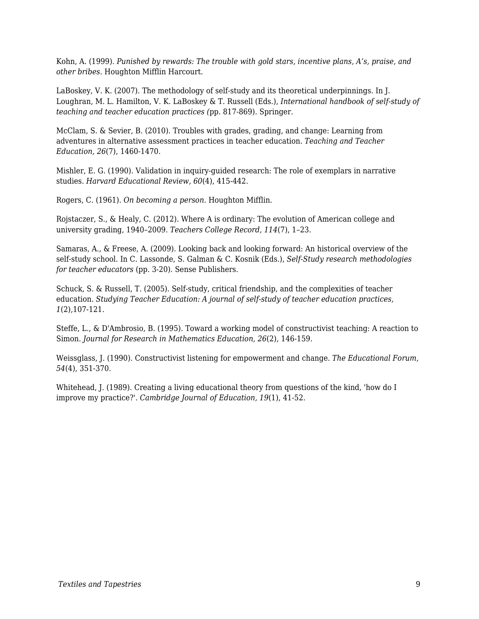Kohn, A. (1999). *Punished by rewards: The trouble with gold stars, incentive plans, A's, praise, and other bribes.* Houghton Mifflin Harcourt.

LaBoskey, V. K. (2007). The methodology of self-study and its theoretical underpinnings. In J. Loughran, M. L. Hamilton, V. K. LaBoskey & T. Russell (Eds.), *International handbook of self-study of teaching and teacher education practices (*pp. 817-869). Springer.

McClam, S. & Sevier, B. (2010). Troubles with grades, grading, and change: Learning from adventures in alternative assessment practices in teacher education. *Teaching and Teacher Education, 26*(7), 1460-1470.

Mishler, E. G. (1990). Validation in inquiry-guided research: The role of exemplars in narrative studies. *Harvard Educational Review, 60*(4), 415-442.

Rogers, C. (1961). *On becoming a person.* Houghton Mifflin.

Rojstaczer, S., & Healy, C. (2012). Where A is ordinary: The evolution of American college and university grading, 1940–2009. *Teachers College Record, 114*(7), 1–23.

Samaras, A., & Freese, A. (2009). Looking back and looking forward: An historical overview of the self-study school. In C. Lassonde, S. Galman & C. Kosnik (Eds.), *Self-Study research methodologies for teacher educators* (pp. 3-20). Sense Publishers.

Schuck, S. & Russell, T. (2005). Self-study, critical friendship, and the complexities of teacher education. *Studying Teacher Education: A journal of self-study of teacher education practices, 1*(2)*,*107-121.

Steffe, L., & D'Ambrosio, B. (1995). Toward a working model of constructivist teaching: A reaction to Simon. *Journal for Research in Mathematics Education, 26*(2), 146-159.

Weissglass, J. (1990). Constructivist listening for empowerment and change. *The Educational Forum, 54*(4), 351-370.

Whitehead, J. (1989). Creating a living educational theory from questions of the kind, 'how do I improve my practice?'. *Cambridge Journal of Education, 19*(1), 41-52.